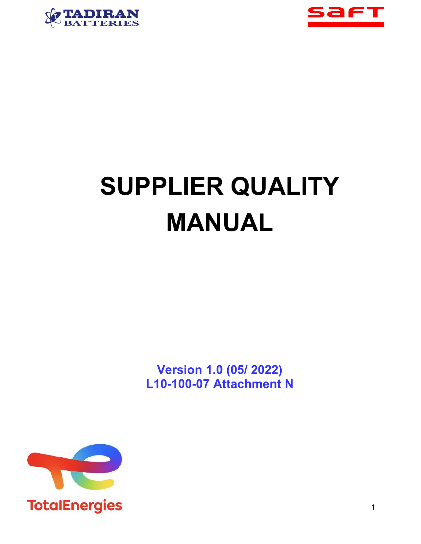



# **SUPPLIER QUALITY MANUAL**

**Version 1.0 (05/ 2022) L10-100-07 Attachment N**

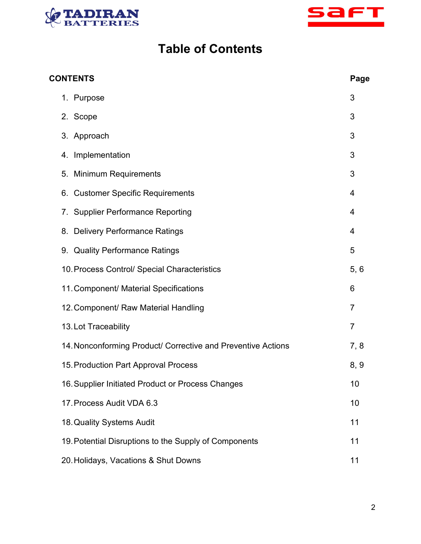



# **Table of Contents**

| <b>CONTENTS</b><br>Page |                                                              |                |
|-------------------------|--------------------------------------------------------------|----------------|
|                         | 1. Purpose                                                   | 3              |
|                         | 2. Scope                                                     | 3              |
|                         | 3. Approach                                                  | 3              |
|                         | Implementation<br>4.                                         | 3              |
|                         | <b>Minimum Requirements</b><br>5.                            | 3              |
|                         | <b>Customer Specific Requirements</b><br>6.                  | 4              |
|                         | 7. Supplier Performance Reporting                            | 4              |
|                         | 8. Delivery Performance Ratings                              | 4              |
|                         | 9. Quality Performance Ratings                               | 5              |
|                         | 10. Process Control/ Special Characteristics                 | 5, 6           |
|                         | 11. Component/ Material Specifications                       | 6              |
|                         | 12. Component/ Raw Material Handling                         | 7              |
|                         | 13. Lot Traceability                                         | $\overline{7}$ |
|                         | 14. Nonconforming Product/ Corrective and Preventive Actions | 7, 8           |
|                         | 15. Production Part Approval Process                         | 8, 9           |
|                         | 16. Supplier Initiated Product or Process Changes            | 10             |
|                         | 17. Process Audit VDA 6.3                                    | 10             |
|                         | 18. Quality Systems Audit                                    | 11             |
|                         | 19. Potential Disruptions to the Supply of Components        | 11             |
|                         | 20. Holidays, Vacations & Shut Downs                         | 11             |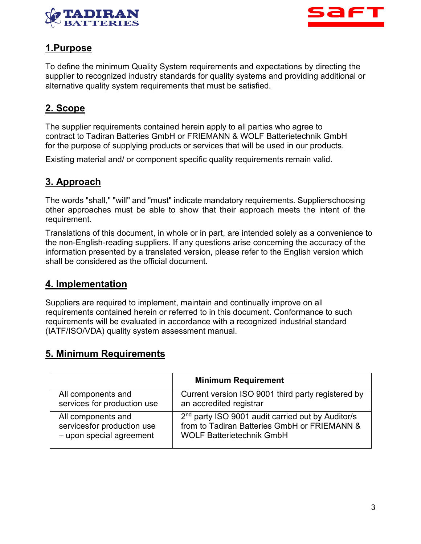



# **1.Purpose**

To define the minimum Quality System requirements and expectations by directing the supplier to recognized industry standards for quality systems and providing additional or alternative quality system requirements that must be satisfied.

# **2. Scope**

The supplier requirements contained herein apply to all parties who agree to contract to Tadiran Batteries GmbH or FRIEMANN & WOLF Batterietechnik GmbH for the purpose of supplying products or services that will be used in our products.

Existing material and/ or component specific quality requirements remain valid.

# **3. Approach**

The words "shall," "will" and "must" indicate mandatory requirements. Supplierschoosing other approaches must be able to show that their approach meets the intent of the requirement.

Translations of this document, in whole or in part, are intended solely as a convenience to the non-English-reading suppliers. If any questions arise concerning the accuracy of the information presented by a translated version, please refer to the English version which shall be considered as the official document.

#### **4. Implementation**

Suppliers are required to implement, maintain and continually improve on all requirements contained herein or referred to in this document. Conformance to such requirements will be evaluated in accordance with a recognized industrial standard (IATF/ISO/VDA) quality system assessment manual.

#### **5. Minimum Requirements**

|                             | <b>Minimum Requirement</b>                                    |
|-----------------------------|---------------------------------------------------------------|
| All components and          | Current version ISO 9001 third party registered by            |
| services for production use | an accredited registrar                                       |
| All components and          | 2 <sup>nd</sup> party ISO 9001 audit carried out by Auditor/s |
| servicesfor production use  | from to Tadiran Batteries GmbH or FRIEMANN &                  |
| - upon special agreement    | <b>WOLF Batterietechnik GmbH</b>                              |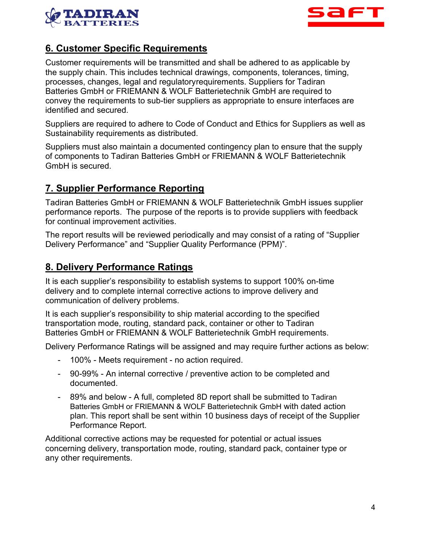



#### **6. Customer Specific Requirements**

Customer requirements will be transmitted and shall be adhered to as applicable by the supply chain. This includes technical drawings, components, tolerances, timing, processes, changes, legal and regulatoryrequirements. Suppliers for Tadiran Batteries GmbH or FRIEMANN & WOLF Batterietechnik GmbH are required to convey the requirements to sub-tier suppliers as appropriate to ensure interfaces are identified and secured.

Suppliers are required to adhere to Code of Conduct and Ethics for Suppliers as well as Sustainability requirements as distributed.

Suppliers must also maintain a documented contingency plan to ensure that the supply of components to Tadiran Batteries GmbH or FRIEMANN & WOLF Batterietechnik GmbH is secured.

#### **7. Supplier Performance Reporting**

Tadiran Batteries GmbH or FRIEMANN & WOLF Batterietechnik GmbH issues supplier performance reports. The purpose of the reports is to provide suppliers with feedback for continual improvement activities.

The report results will be reviewed periodically and may consist of a rating of "Supplier Delivery Performance" and "Supplier Quality Performance (PPM)".

#### **8. Delivery Performance Ratings**

It is each supplier's responsibility to establish systems to support 100% on-time delivery and to complete internal corrective actions to improve delivery and communication of delivery problems.

It is each supplier's responsibility to ship material according to the specified transportation mode, routing, standard pack, container or other to Tadiran Batteries GmbH or FRIEMANN & WOLF Batterietechnik GmbH requirements.

Delivery Performance Ratings will be assigned and may require further actions as below:

- 100% Meets requirement no action required.
- 90-99% An internal corrective / preventive action to be completed and documented.
- 89% and below A full, completed 8D report shall be submitted to Tadiran Batteries GmbH or FRIEMANN & WOLF Batterietechnik GmbH with dated action plan. This report shall be sent within 10 business days of receipt of the Supplier Performance Report.

Additional corrective actions may be requested for potential or actual issues concerning delivery, transportation mode, routing, standard pack, container type or any other requirements.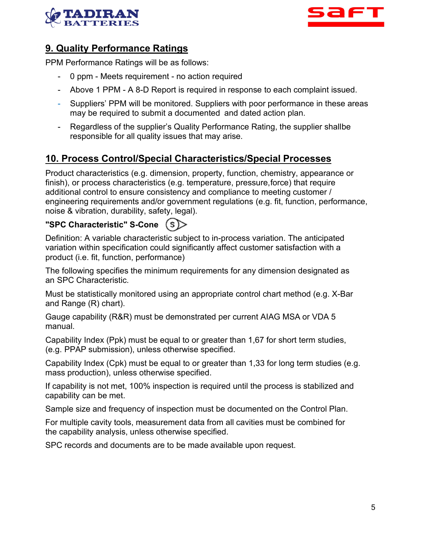



#### **9. Quality Performance Ratings**

PPM Performance Ratings will be as follows:

- 0 ppm Meets requirement no action required
- Above 1 PPM A 8-D Report is required in response to each complaint issued.
- Suppliers' PPM will be monitored. Suppliers with poor performance in these areas may be required to submit a documented and dated action plan.
- Regardless of the supplier's Quality Performance Rating, the supplier shallbe responsible for all quality issues that may arise.

#### **10. Process Control/Special Characteristics/Special Processes**

Product characteristics (e.g. dimension, property, function, chemistry, appearance or finish), or process characteristics (e.g. temperature, pressure,force) that require additional control to ensure consistency and compliance to meeting customer / engineering requirements and/or government regulations (e.g. fit, function, performance, noise & vibration, durability, safety, legal).

#### **"SPC Characteristic" S-Cone**  $(s)$

Definition: A variable characteristic subject to in-process variation. The anticipated variation within specification could significantly affect customer satisfaction with a product (i.e. fit, function, performance)

The following specifies the minimum requirements for any dimension designated as an SPC Characteristic.

Must be statistically monitored using an appropriate control chart method (e.g. X-Bar and Range (R) chart).

Gauge capability (R&R) must be demonstrated per current AIAG MSA or VDA 5 manual.

Capability Index (Ppk) must be equal to or greater than 1,67 for short term studies, (e.g. PPAP submission), unless otherwise specified.

Capability Index (Cpk) must be equal to or greater than 1,33 for long term studies (e.g. mass production), unless otherwise specified.

If capability is not met, 100% inspection is required until the process is stabilized and capability can be met.

Sample size and frequency of inspection must be documented on the Control Plan.

For multiple cavity tools, measurement data from all cavities must be combined for the capability analysis, unless otherwise specified.

SPC records and documents are to be made available upon request.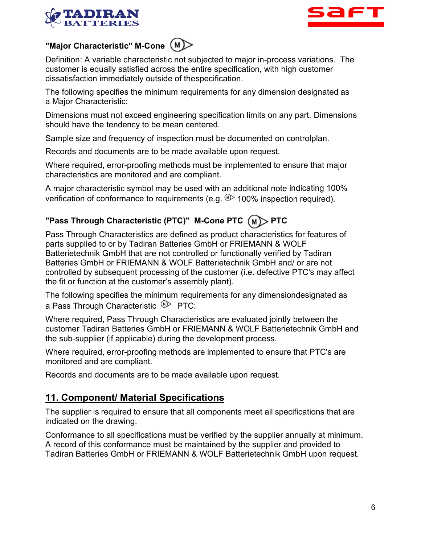



#### **"Major Characteristic" M-Cone**

Definition: A variable characteristic not subjected to major in-process variations. The customer is equally satisfied across the entire specification, with high customer dissatisfaction immediately outside of thespecification.

The following specifies the minimum requirements for any dimension designated as a Major Characteristic:

Dimensions must not exceed engineering specification limits on any part. Dimensions should have the tendency to be mean centered.

Sample size and frequency of inspection must be documented on controlplan.

Records and documents are to be made available upon request.

Where required, error-proofing methods must be implemented to ensure that major characteristics are monitored and are compliant.

A major characteristic symbol may be used with an additional note indicating 100% verification of conformance to requirements (e.g.  $\mathbb{D}$  100% inspection required).

# **"Pass Through Characteristic (PTC)" M-Cone PTC (M)> PTC**

Pass Through Characteristics are defined as product characteristics for features of parts supplied to or by Tadiran Batteries GmbH or FRIEMANN & WOLF Batterietechnik GmbH that are not controlled or functionally verified by Tadiran Batteries GmbH or FRIEMANN & WOLF Batterietechnik GmbH and/ or are not controlled by subsequent processing of the customer (i.e. defective PTC's may affect the fit or function at the customer's assembly plant).

The following specifies the minimum requirements for any dimensiondesignated as a Pass Through Characteristic  $\mathbb{P}\triangleright$  PTC:

Where required, Pass Through Characteristics are evaluated jointly between the customer Tadiran Batteries GmbH or FRIEMANN & WOLF Batterietechnik GmbH and the sub-supplier (if applicable) during the development process.

Where required, error-proofing methods are implemented to ensure that PTC's are monitored and are compliant.

Records and documents are to be made available upon request.

#### **11. Component/ Material Specifications**

The supplier is required to ensure that all components meet all specifications that are indicated on the drawing.

Conformance to all specifications must be verified by the supplier annually at minimum. A record of this conformance must be maintained by the supplier and provided to Tadiran Batteries GmbH or FRIEMANN & WOLF Batterietechnik GmbH upon request.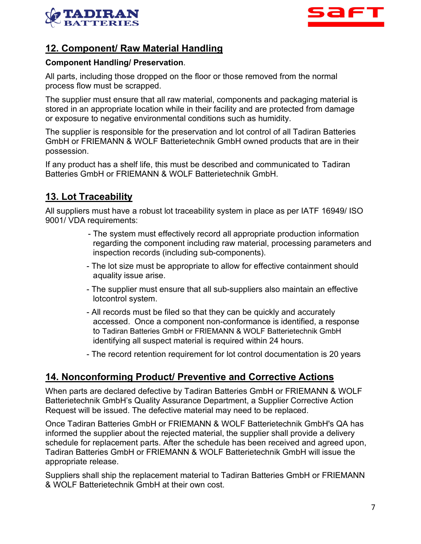



#### **12. Component/ Raw Material Handling**

#### **Component Handling/ Preservation**.

All parts, including those dropped on the floor or those removed from the normal process flow must be scrapped.

The supplier must ensure that all raw material, components and packaging material is stored in an appropriate location while in their facility and are protected from damage or exposure to negative environmental conditions such as humidity.

The supplier is responsible for the preservation and lot control of all Tadiran Batteries GmbH or FRIEMANN & WOLF Batterietechnik GmbH owned products that are in their possession.

If any product has a shelf life, this must be described and communicated to Tadiran Batteries GmbH or FRIEMANN & WOLF Batterietechnik GmbH.

#### **13. Lot Traceability**

All suppliers must have a robust lot traceability system in place as per IATF 16949/ ISO 9001/ VDA requirements:

- The system must effectively record all appropriate production information regarding the component including raw material, processing parameters and inspection records (including sub-components).
- The lot size must be appropriate to allow for effective containment should a quality issue arise.
- The supplier must ensure that all sub-suppliers also maintain an effective lotcontrol system.
- All records must be filed so that they can be quickly and accurately accessed. Once a component non-conformance is identified, a response to Tadiran Batteries GmbH or FRIEMANN & WOLF Batterietechnik GmbH identifying all suspect material is required within 24 hours.
- The record retention requirement for lot control documentation is 20 years

#### **14. Nonconforming Product/ Preventive and Corrective Actions**

When parts are declared defective by Tadiran Batteries GmbH or FRIEMANN & WOLF Batterietechnik GmbH's Quality Assurance Department, a Supplier Corrective Action Request will be issued. The defective material may need to be replaced.

Once Tadiran Batteries GmbH or FRIEMANN & WOLF Batterietechnik GmbH's QA has informed the supplier about the rejected material, the supplier shall provide a delivery schedule for replacement parts. After the schedule has been received and agreed upon, Tadiran Batteries GmbH or FRIEMANN & WOLF Batterietechnik GmbH will issue the appropriate release.

Suppliers shall ship the replacement material to Tadiran Batteries GmbH or FRIEMANN & WOLF Batterietechnik GmbH at their own cost.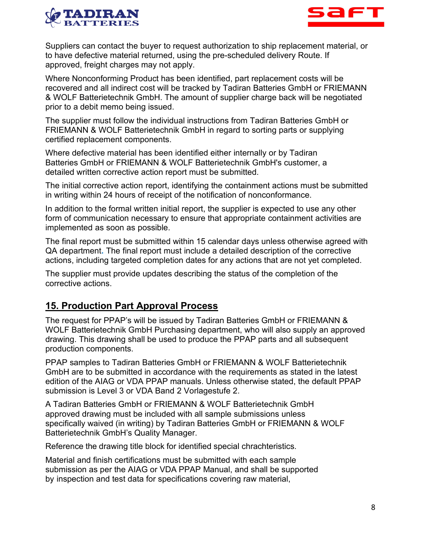



Suppliers can contact the buyer to request authorization to ship replacement material, or to have defective material returned, using the pre-scheduled delivery Route. If approved, freight charges may not apply.

Where Nonconforming Product has been identified, part replacement costs will be recovered and all indirect cost will be tracked by Tadiran Batteries GmbH or FRIEMANN & WOLF Batterietechnik GmbH. The amount of supplier charge back will be negotiated prior to a debit memo being issued.

The supplier must follow the individual instructions from Tadiran Batteries GmbH or FRIEMANN & WOLF Batterietechnik GmbH in regard to sorting parts or supplying certified replacement components.

Where defective material has been identified either internally or by Tadiran Batteries GmbH or FRIEMANN & WOLF Batterietechnik GmbH's customer, a detailed written corrective action report must be submitted.

The initial corrective action report, identifying the containment actions must be submitted in writing within 24 hours of receipt of the notification of nonconformance.

In addition to the formal written initial report, the supplier is expected to use any other form of communication necessary to ensure that appropriate containment activities are implemented as soon as possible.

The final report must be submitted within 15 calendar days unless otherwise agreed with QA department**.** The final report must include a detailed description of the corrective actions, including targeted completion dates for any actions that are not yet completed.

The supplier must provide updates describing the status of the completion of the corrective actions.

#### **15. Production Part Approval Process**

The request for PPAP's will be issued by Tadiran Batteries GmbH or FRIEMANN & WOLF Batterietechnik GmbH Purchasing department, who will also supply an approved drawing. This drawing shall be used to produce the PPAP parts and all subsequent production components.

PPAP samples to Tadiran Batteries GmbH or FRIEMANN & WOLF Batterietechnik GmbH are to be submitted in accordance with the requirements as stated in the latest edition of the AIAG or VDA PPAP manuals. Unless otherwise stated, the default PPAP submission is Level 3 or VDA Band 2 Vorlagestufe 2.

A Tadiran Batteries GmbH or FRIEMANN & WOLF Batterietechnik GmbH approved drawing must be included with all sample submissions unless specifically waived (in writing) by Tadiran Batteries GmbH or FRIEMANN & WOLF Batterietechnik GmbH's Quality Manager.

Reference the drawing title block for identified special chrachteristics.

Material and finish certifications must be submitted with each sample submission as per the AIAG or VDA PPAP Manual, and shall be supported by inspection and test data for specifications covering raw material,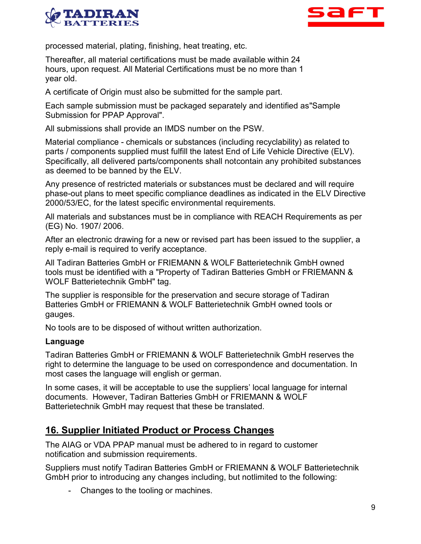



processed material, plating, finishing, heat treating, etc.

Thereafter, all material certifications must be made available within 24 hours, upon request. All Material Certifications must be no more than 1 year old.

A certificate of Origin must also be submitted for the sample part.

Each sample submission must be packaged separately and identified as"Sample Submission for PPAP Approval".

All submissions shall provide an IMDS number on the PSW.

Material compliance - chemicals or substances (including recyclability) as related to parts / components supplied must fulfill the latest End of Life Vehicle Directive (ELV). Specifically, all delivered parts/components shall notcontain any prohibited substances as deemed to be banned by the ELV.

Any presence of restricted materials or substances must be declared and will require phase-out plans to meet specific compliance deadlines as indicated in the ELV Directive 2000/53/EC, for the latest specific environmental requirements.

All materials and substances must be in compliance with REACH Requirements as per (EG) No. 1907/ 2006.

After an electronic drawing for a new or revised part has been issued to the supplier, a reply e-mail is required to verify acceptance.

All Tadiran Batteries GmbH or FRIEMANN & WOLF Batterietechnik GmbH owned tools must be identified with a "Property of Tadiran Batteries GmbH or FRIEMANN & WOLF Batterietechnik GmbH" tag.

The supplier is responsible for the preservation and secure storage of Tadiran Batteries GmbH or FRIEMANN & WOLF Batterietechnik GmbH owned tools or gauges.

No tools are to be disposed of without written authorization.

#### **Language**

Tadiran Batteries GmbH or FRIEMANN & WOLF Batterietechnik GmbH reserves the right to determine the language to be used on correspondence and documentation. In most cases the language will english or german.

In some cases, it will be acceptable to use the suppliers' local language for internal documents. However, Tadiran Batteries GmbH or FRIEMANN & WOLF Batterietechnik GmbH may request that these be translated.

#### **16. Supplier Initiated Product or Process Changes**

The AIAG or VDA PPAP manual must be adhered to in regard to customer notification and submission requirements.

Suppliers must notify Tadiran Batteries GmbH or FRIEMANN & WOLF Batterietechnik GmbH prior to introducing any changes including, but notlimited to the following:

- Changes to the tooling or machines.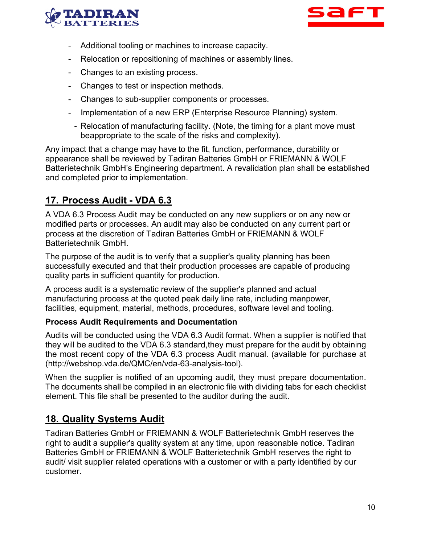



- Additional tooling or machines to increase capacity.
- Relocation or repositioning of machines or assembly lines.
- Changes to an existing process.
- Changes to test or inspection methods.
- Changes to sub-supplier components or processes.
- Implementation of a new ERP (Enterprise Resource Planning) system.
	- Relocation of manufacturing facility. (Note, the timing for a plant move must beappropriate to the scale of the risks and complexity).

Any impact that a change may have to the fit, function, performance, durability or appearance shall be reviewed by Tadiran Batteries GmbH or FRIEMANN & WOLF Batterietechnik GmbH's Engineering department. A revalidation plan shall be established and completed prior to implementation.

# **17. Process Audit - VDA 6.3**

A VDA 6.3 Process Audit may be conducted on any new suppliers or on any new or modified parts or processes. An audit may also be conducted on any current part or process at the discretion of Tadiran Batteries GmbH or FRIEMANN & WOLF Batterietechnik GmbH.

The purpose of the audit is to verify that a supplier's quality planning has been successfully executed and that their production processes are capable of producing quality parts in sufficient quantity for production.

A process audit is a systematic review of the supplier's planned and actual manufacturing process at the quoted peak daily line rate, including manpower, facilities, equipment, material, methods, procedures, software level and tooling.

#### **Process Audit Requirements and Documentation**

Audits will be conducted using the VDA 6.3 Audit format. When a supplier is notified that they will be audited to the VDA 6.3 standard,they must prepare for the audit by obtaining the most recent copy of the VDA 6.3 process Audit manual. (available for purchase at [\(http://webshop.vda.de/QMC/en/vda-63-analysis-tool\).](http://webshop.vda.de/QMC/en/vda-63-analysis-tool))

When the supplier is notified of an upcoming audit, they must prepare documentation. The documents shall be compiled in an electronic file with dividing tabs for each checklist element. This file shall be presented to the auditor during the audit.

#### **18. Quality Systems Audit**

Tadiran Batteries GmbH or FRIEMANN & WOLF Batterietechnik GmbH reserves the right to audit a supplier's quality system at any time, upon reasonable notice. Tadiran Batteries GmbH or FRIEMANN & WOLF Batterietechnik GmbH reserves the right to audit/ visit supplier related operations with a customer or with a party identified by our customer.